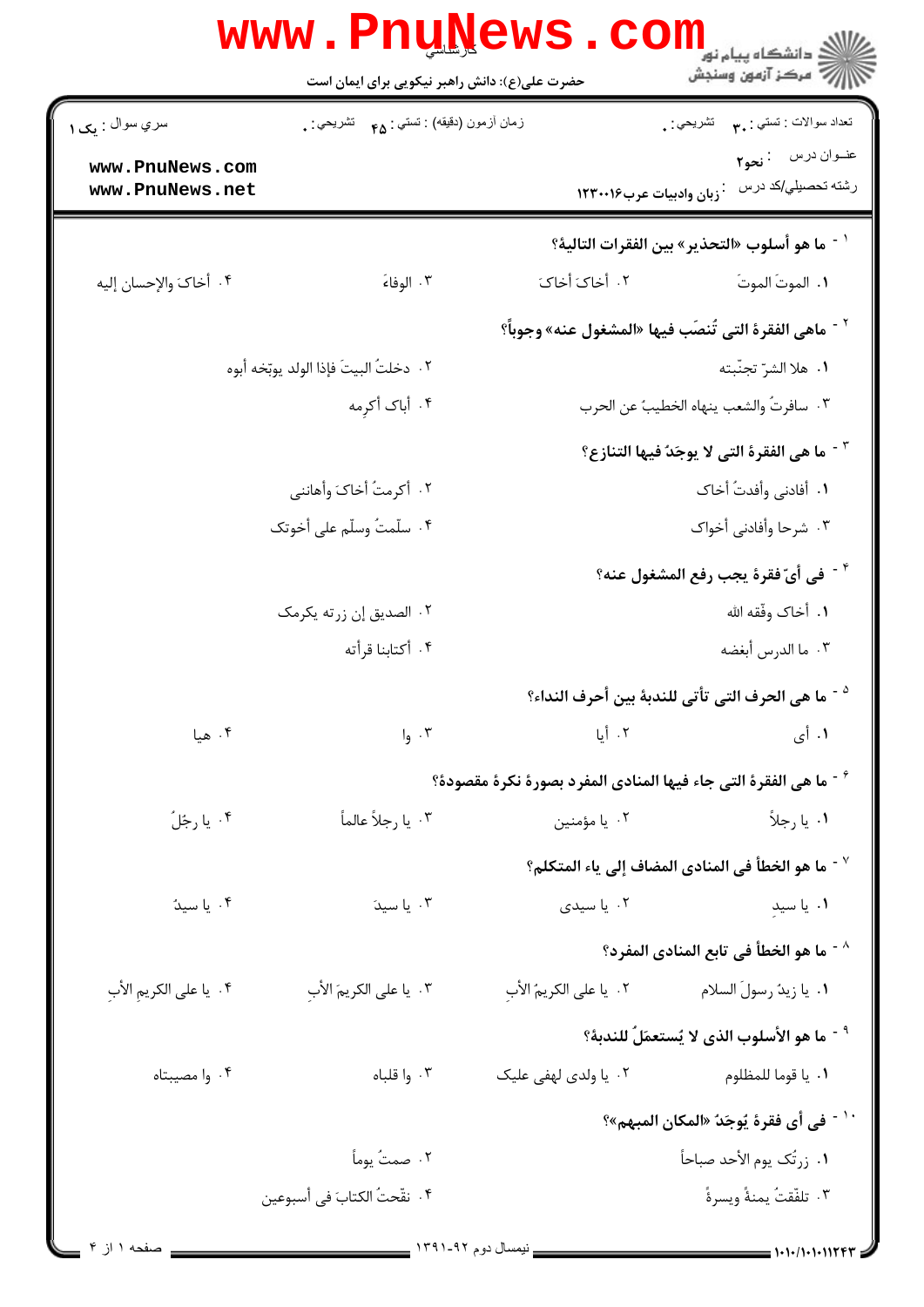|                                                          | www.PnuNews                                   | COI                                                              | ر<br>دانشکاه پیام نور ¶<br>ا∛ مرکز آزمون وسنجش                      |
|----------------------------------------------------------|-----------------------------------------------|------------------------------------------------------------------|---------------------------------------------------------------------|
|                                                          | حضرت علی(ع): دانش راهبر نیکویی برای ایمان است |                                                                  |                                                                     |
| سري سوال : يک ۱                                          | زمان أزمون (دقيقه) : تستي : ۴۵ — تشريحي : .   |                                                                  | تعداد سوالات : تستبي : ٣ <b>. س</b> تشريحي : .                      |
| www.PnuNews.com<br>www.PnuNews.net                       |                                               | زبان وادبيات عرب١٢٣٠٠١۶                                          | عنــوان درس    : نحو٢<br>رشته تحصيلي/كد درس                         |
|                                                          |                                               |                                                                  | ` <sup>-</sup> ما هو أسلوب «التحذير» بين الفقرات التالية؟           |
| ۴. أخاكَ والإحسان إليه                                   | ۰۳ الوفاءَ                                    | ٢. أخاكَ أخاكَ                                                   | ٠١. الموتَ الموتَ                                                   |
|                                                          |                                               |                                                                  | <sup>٢ -</sup> ماهي الفقرة التي تُنصَب فيها «المشغول عنه» وجوباً؟   |
|                                                          | ٢.  دخلتُ البيتَ فإذا الولد يوبّخه أبوه       |                                                                  | ٠١. هلا الشرّ تجنّبته                                               |
|                                                          | ۰۴ أباک أکرمه                                 |                                                                  | ٢. سافرتُ والشعب ينهاه الخطيبُ عن الحرب                             |
| <sup>٣ -</sup> ما هي الفقرة التي لا يوجَدٌ فيها التنازع؟ |                                               |                                                                  |                                                                     |
|                                                          | ٢. أكرمتُ أخاكَ وأهانني                       | ٠١. أفادني وأفدتُ أخاك                                           |                                                                     |
| ۴. سلّمتُ وسلّم على أخوتك                                |                                               | ۰۳ شرحا وأفادني أخواك                                            |                                                                     |
|                                                          |                                               |                                                                  | <sup>٢ -</sup> في أيّ فقرة يجب رفع المشغول عنه؟                     |
|                                                          | ۰۲ الصديق إن زرته يكرمك                       | ٠١. أخاک وفّقه الله                                              |                                                                     |
|                                                          | ۰۴ أكتابنا قرأته                              |                                                                  | ٠٣ ما الدرس أبغضه                                                   |
|                                                          |                                               |                                                                  | <sup>د</sup> - ما هي الحرف التي تأتي للندبة بين أحرف النداء؟        |
| ۰۴ هيا                                                   | $I_{9}$ . ۳                                   | ۰۲ أيا                                                           | ۱. أي                                                               |
|                                                          |                                               | ح - ما هي الفقرة التي جاء فيها المنادي المفرد بصورة نكرة مقصودة؟ |                                                                     |
| ۰۴ يا رجُلُ                                              | ۰۳ يا رجلاً عالماً                            | ۰۲ يا مؤمنين                                                     | ۰۱ يا رجلاً                                                         |
|                                                          |                                               |                                                                  | $^{\circ}$ ما هو الخطأ في المنادي المضاف إلى ياء المتكلم $^{\circ}$ |
| ۰۴ يا سيدٌ                                               | ۰۳ یا سیدَ                                    | ۰۲ یا سیدی                                                       | ۰۱ یا سید                                                           |
|                                                          |                                               |                                                                  | ^ - ما هو الخطأ في تابع المنادي المفرد؟                             |
| ۴.  يا على الكريمِ الأبِ                                 | ٢. يا على الكريمَ الأب                        | ٢.  يا على الكريمُ الأب                                          | ٠١. يا زيدُ رسولَ السلام                                            |
|                                                          |                                               |                                                                  | <sup>٩ -</sup> ما هو الأسلوب الذي لا يُستعمَلُ للندبهْ؟             |
| ۰۴ وا مصيبتاه                                            | ۰۳ وا قلباه                                   | ۰۲ یا ولدی لهفی علیک                                             | ٠١. يا قوما للمظلوم                                                 |
|                                                          |                                               |                                                                  | <sup>1</sup> ' في أي فقرة يُوجَدُ «المكان المبهم»؟                  |
|                                                          | ٠٢ صمتُ يوماً                                 |                                                                  | ٠١. زرتُك يوم الأحد صباحاً                                          |
|                                                          | ۴. نقّحتُ الكتابَ في أسبوعين                  |                                                                  | ٠٣ تلفّقتُ يمنةً ويسرةً                                             |
|                                                          |                                               |                                                                  |                                                                     |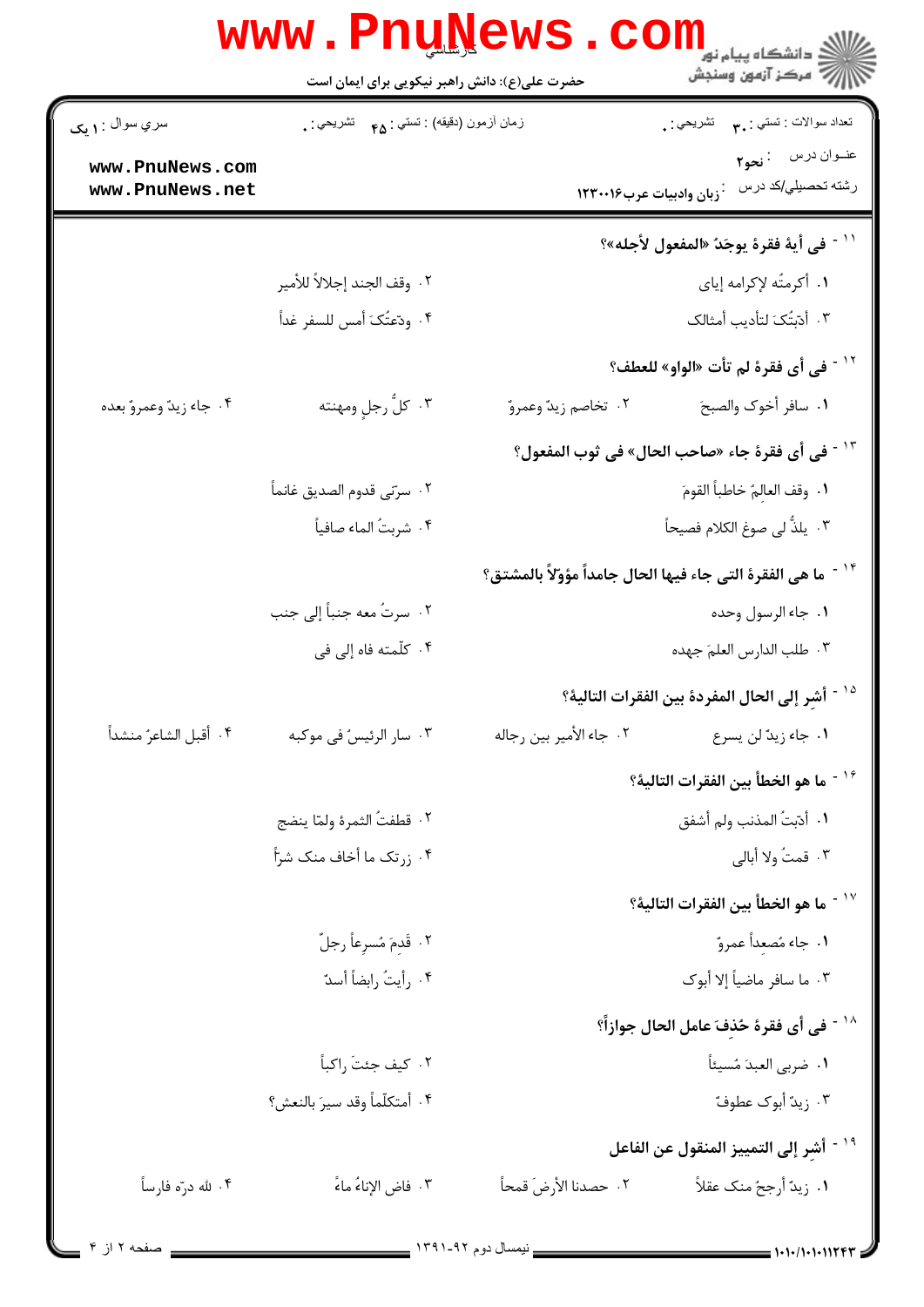|                                    | حضرت علی(ع): دانش راهبر نیکویی برای ایمان است | <b>www.PnuNews.com</b>                                   | ڪ دانشڪاه پيا <sub>م</sub> نور<br><mark>√</mark> مرڪز آزمون وسنڊش |
|------------------------------------|-----------------------------------------------|----------------------------------------------------------|-------------------------------------------------------------------|
| سري سوال : ۱ يک                    | زمان أزمون (دقيقه) : تستي : ۴۵ — تشريحي : .   |                                                          | نعداد سوالات : تستي : ٣ <b>. س</b> تشريحي : .                     |
| www.PnuNews.com<br>www.PnuNews.net |                                               | زبان وادبيات عرب١٢٣٠٠١۶                                  | عنــوان درس : نحو٢<br>رشته تحصيلي/كد درس                          |
|                                    |                                               |                                                          | `` في أية فقرة يوجَدُ «المفعول لأجله»؟                            |
|                                    | ٢.  وقف الجند إجلالاً للأمير                  |                                                          | ١. أكرمتُه لإكرامه إياي                                           |
|                                    | ۴. ودّعتُکَ أمس للسفر غداً                    |                                                          | ٠٣ أدّبتَكَ لتأديب أمثالك                                         |
|                                    |                                               |                                                          | `` في أي فقرة لم تأت «الواو» للعطف؟                               |
| ۰۴ جاء زيدٌ وعمروٌ بعده            | ۰۳ كلُّ رجلٍ ومهنته                           | ۰۲ تخاصم زيدٌ وعمروٌ                                     | ١. سافر أخوك والصبحَ                                              |
|                                    |                                               |                                                          | <sup>1۳ -</sup> في أي فقرة جاء «صاحب الحال» في ثوب المفعول؟       |
|                                    | ٢. سرّنى قدوم الصديق غانماً                   |                                                          | ٠١. وقف العالِمُ خاطباً القومَ                                    |
|                                    | ۴. شربتُ الماء صافياً                         |                                                          | ۰۳ يلذُّ لى صوغ الكلام فصيحاً                                     |
|                                    |                                               | ما هي الفقرة التي جاء فيها الحال جامداً مؤوّلاً بالمشتق؟ |                                                                   |
|                                    | ٢. سرتٌ معه جنباً إلى جنب                     |                                                          | ٠١. جاء الرسول وحده                                               |
|                                    | ۴. كلّمته فاه إلى في                          |                                                          | ٠٣ طلب الدارس العلمَ جهده                                         |
|                                    |                                               |                                                          | <sup>12 -</sup> أشرِ إلى الحال المفردة بين الفقرات التالية؟       |
| ۰۴ أقبل الشاعرُ منشداً             | ۰۳ سار الرئيسُ في موكبه                       | ٢. جاء الأمير بين رجاله                                  | ٠١ جاء زيدٌ لن يسرع                                               |
|                                    |                                               |                                                          | <sup>16 -</sup> ما هو الخطأ بين الفقرات التالية؟                  |
|                                    | ٢. قطفتُ الثمرة ولمّا ينضج                    |                                                          | ٠١. أدّبتُ المذنب ولم أشفق                                        |
|                                    | ۰۴ زرتک ما أخاف منک شرّأ                      |                                                          | ۰۳ قمتُ ولا أبالي                                                 |
|                                    |                                               |                                                          | `` ^ - ما هو الخطأ بين الفقرات التالية؟                           |
|                                    | ٢. قَدِمَ مُسرِعاً رجلّ                       |                                                          | ٠١. جاء مُصعِداً عمروٌ                                            |
|                                    | ۰۴ رأيتُ رابضاً أسدٌ                          |                                                          | ٠٣ ما سافر ماضياً إلا أبوك                                        |
|                                    |                                               |                                                          | <sup>11</sup> في أي فقرة حُذفَ عامل الحال جوازاً؟                 |
|                                    | ٠٢ كيف جئتَ راكباً                            |                                                          | ٠١ ضربي العبدَ مُسيئاً                                            |
|                                    | ۴. أمتكلّماً وقد سيرَ بالنعش؟                 |                                                          | ۰۳ زيد أبوك عطوفً                                                 |
|                                    |                                               |                                                          | <sup>19 -</sup> أشر إلى التمييز المنقول عن الفاعل                 |
| ۰۴ شه درّه فارساً                  | ٣. فاض الإناءُ ماءً                           | ٢.  حصدنا الأرضَ قمحاً                                   | ٠١. زيدٌ أرجحُ منك عقلاً                                          |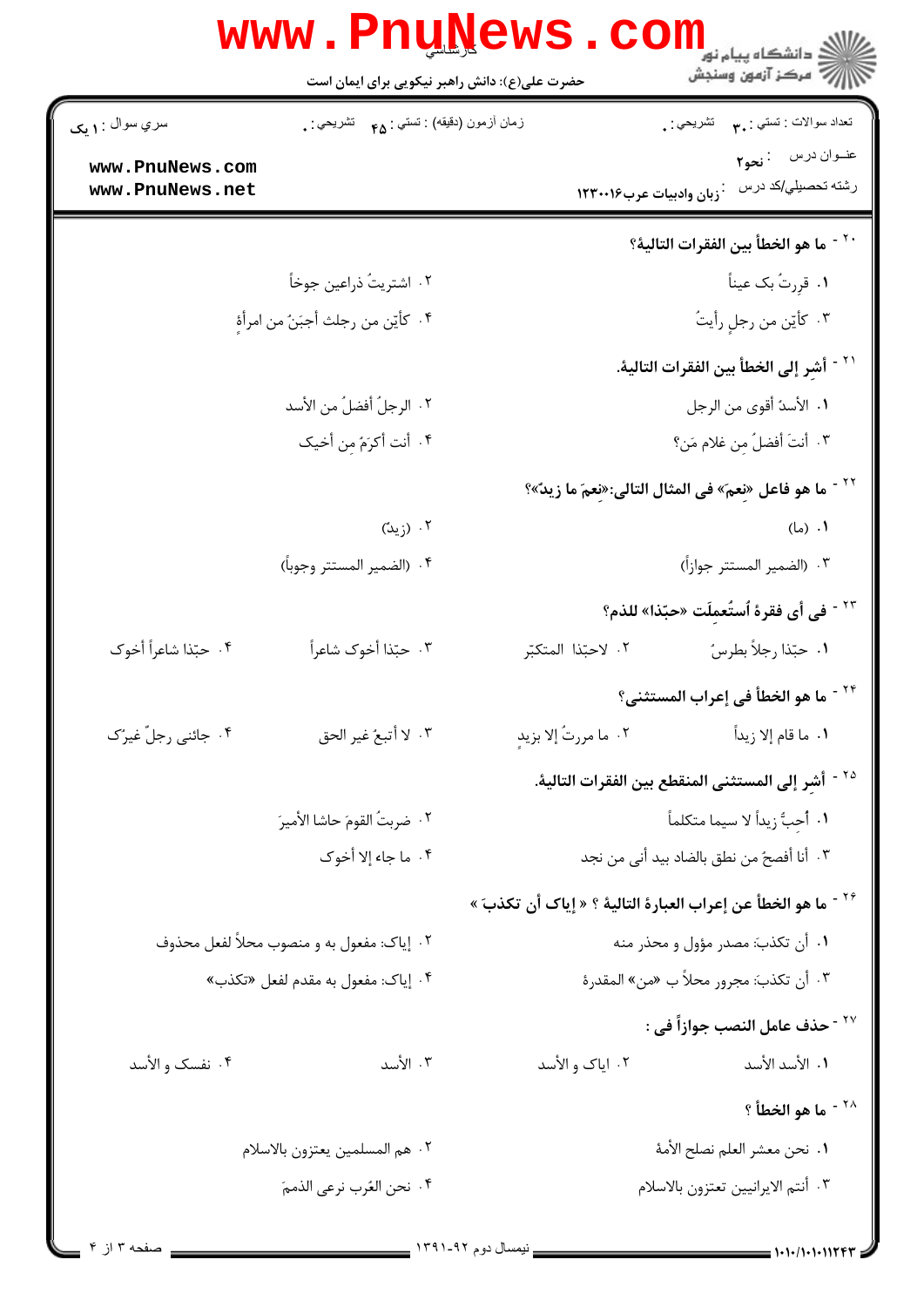|                                    | <b>www.Pnu<u>n</u>ews</b><br>حضرت علی(ع): دانش راهبر نیکویی برای ایمان است | ڪ دانشڪاه پيام نور<br>آج - مرڪز آزمون وسنجش                              |  |
|------------------------------------|----------------------------------------------------------------------------|--------------------------------------------------------------------------|--|
| سري سوال : ۱ يک                    | زمان أزمون (دقيقه) : تستي : <sub>۴۵</sub> تشريحي : <sub>.</sub>            | تعداد سوالات : تستبي : ٣٠<br>تشريحي : ,                                  |  |
| www.PnuNews.com<br>www.PnuNews.net |                                                                            | عنوان درس : نحو٢<br>رشته تحصيلي/كد درس<br>وبان وادبيات عرب١٢٣٠٠١۶        |  |
|                                    |                                                                            | ما هو الخطأ بين الفقرات التالية؟                                         |  |
|                                    | ٢. اشتريتُ ذراعين جوخاً                                                    | ۰۱ قرِرتُ بک عیناً                                                       |  |
|                                    | ۴ . كأيّن من رجلث أجبَنُ من امرأهِ                                         | ۰۳ كأيّن من رجلٍ رأيتُ                                                   |  |
|                                    |                                                                            | ً ` ` أشر إلى الخطأ بين الفقرات التالية.                                 |  |
|                                    | ٢. الرجلُ أفضلُ من الأسد                                                   | <b>١.</b> الأسدُ أقوى من الرجل                                           |  |
|                                    | ۴. أنت أكرَمُ مِن أخيك                                                     | ٣. أنتَ أفضلٌ مِن غلام مَن؟                                              |  |
|                                    |                                                                            | <sup>٢٢ -</sup> ما هو فاعل «نعمَ» في المثال التالي:«نعمَ ما زيدٌ»؟       |  |
|                                    | ۰۲ (زیدّ)                                                                  | ۰۱ (ما)                                                                  |  |
|                                    | ۴. (الضمير المستتر وجوباً)                                                 | ٠٣ (الضمير المستتر جوازاً)                                               |  |
|                                    |                                                                            | <sup>٢٣ -</sup> في أي فقرة ٱستُعمِلَت «حبّذا» للذم؟                      |  |
| ۴. حبّذا شاعراً أخوك               | ٠٣ حبّذا أخوك شاعراً                                                       | ٠١ حبّذا رجلاً بطرسُ<br>٢. لاحبّذا المتكبّر                              |  |
|                                    |                                                                            | <sup>٢۴ -</sup> ما هو الخطأ في إعراب المستثنى؟                           |  |
| ۰۴ جائني رجلٌ غيرٌک                | ٠٣ لا أتبعُ غير الحق                                                       | ٢. ما مررتُ إلا بزيدٍ<br><mark>١</mark> . ما قام إلا زيداً               |  |
|                                    |                                                                            | <sup>70 -</sup> أشرِ إلى المستثنى المنقطع بين الفقرات التالية.           |  |
|                                    | ٢. ضربتُ القومَ حاشا الأميرَ                                               | ١. أُحِبُّ زيداً لا سيما متكلماً                                         |  |
|                                    | ۴. ما جاء إلا أخوك                                                         | ٣.  أنا أفصحٌ من نطق بالضاد بيد أنى من نجد                               |  |
|                                    |                                                                            | <sup>٢۶ -</sup> ما هو الخطأ عن إعراب العبارة التالية ؟ « إياك أن تكذبَ » |  |
|                                    | ۰۲ إياک: مفعول به و منصوب محلاً لفعل محذوف                                 | ۰۱ أن تكذبَ: مصدر مؤول و محذر منه                                        |  |
|                                    | ۰۴ إياك: مفعول به مقدم لفعل «تكذب»                                         | ٣. أن تكذبَ: مجرور محلاً ب «من» المقدرة                                  |  |
|                                    |                                                                            | <sup>٢٧ -</sup> حذف عامل النصب جوازاً في :                               |  |
| ۰۴ نفسک و الأسد                    | ۰۳ الأسد                                                                   | ۰۲ ایاک و الأسد<br>١. الأسد الأسد                                        |  |
|                                    |                                                                            | <sup>٢٨ -</sup> ما هو الخطأ ؟                                            |  |
|                                    | ٢. هم المسلمين يعتزون بالاسلام                                             | ٠١ نحن معشر العلم نصلح الأمهٔ                                            |  |
|                                    | ۰۴ نحن العُرب نرعي الذممَ                                                  | ٠٣ أنتم الايرانيين تعتزون بالاسلام                                       |  |
|                                    |                                                                            |                                                                          |  |